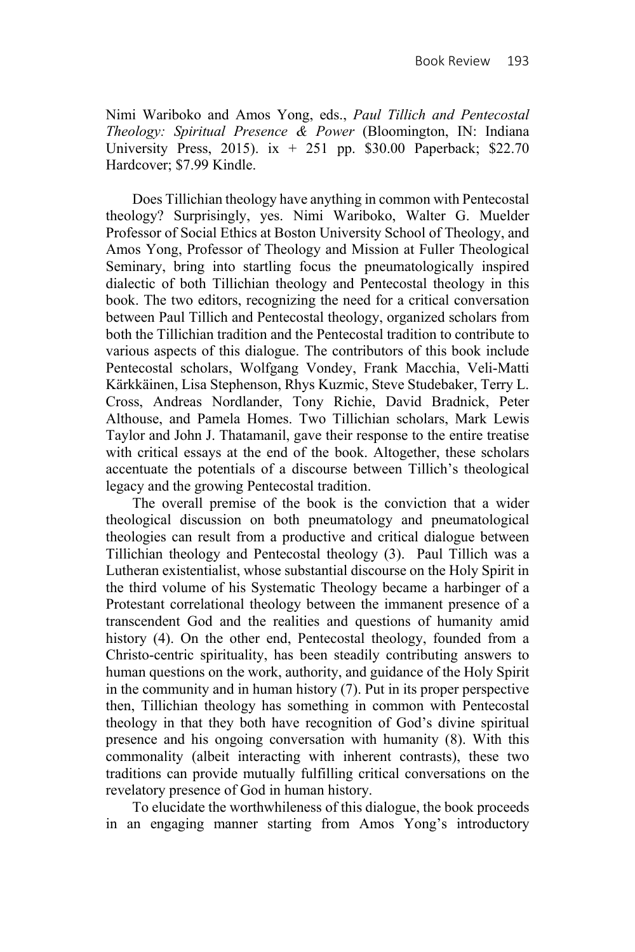Nimi Wariboko and Amos Yong, eds., *Paul Tillich and Pentecostal Theology: Spiritual Presence & Power* (Bloomington, IN: Indiana University Press, 2015). ix  $+$  251 pp. \$30.00 Paperback; \$22.70 Hardcover; \$7.99 Kindle.

Does Tillichian theology have anything in common with Pentecostal theology? Surprisingly, yes. Nimi Wariboko, Walter G. Muelder Professor of Social Ethics at Boston University School of Theology, and Amos Yong, Professor of Theology and Mission at Fuller Theological Seminary, bring into startling focus the pneumatologically inspired dialectic of both Tillichian theology and Pentecostal theology in this book. The two editors, recognizing the need for a critical conversation between Paul Tillich and Pentecostal theology, organized scholars from both the Tillichian tradition and the Pentecostal tradition to contribute to various aspects of this dialogue. The contributors of this book include Pentecostal scholars, Wolfgang Vondey, Frank Macchia, Veli-Matti Kärkkäinen, Lisa Stephenson, Rhys Kuzmic, Steve Studebaker, Terry L. Cross, Andreas Nordlander, Tony Richie, David Bradnick, Peter Althouse, and Pamela Homes. Two Tillichian scholars, Mark Lewis Taylor and John J. Thatamanil, gave their response to the entire treatise with critical essays at the end of the book. Altogether, these scholars accentuate the potentials of a discourse between Tillich's theological legacy and the growing Pentecostal tradition.

The overall premise of the book is the conviction that a wider theological discussion on both pneumatology and pneumatological theologies can result from a productive and critical dialogue between Tillichian theology and Pentecostal theology (3). Paul Tillich was a Lutheran existentialist, whose substantial discourse on the Holy Spirit in the third volume of his Systematic Theology became a harbinger of a Protestant correlational theology between the immanent presence of a transcendent God and the realities and questions of humanity amid history (4). On the other end, Pentecostal theology, founded from a Christo-centric spirituality, has been steadily contributing answers to human questions on the work, authority, and guidance of the Holy Spirit in the community and in human history (7). Put in its proper perspective then, Tillichian theology has something in common with Pentecostal theology in that they both have recognition of God's divine spiritual presence and his ongoing conversation with humanity (8). With this commonality (albeit interacting with inherent contrasts), these two traditions can provide mutually fulfilling critical conversations on the revelatory presence of God in human history.

To elucidate the worthwhileness of this dialogue, the book proceeds in an engaging manner starting from Amos Yong's introductory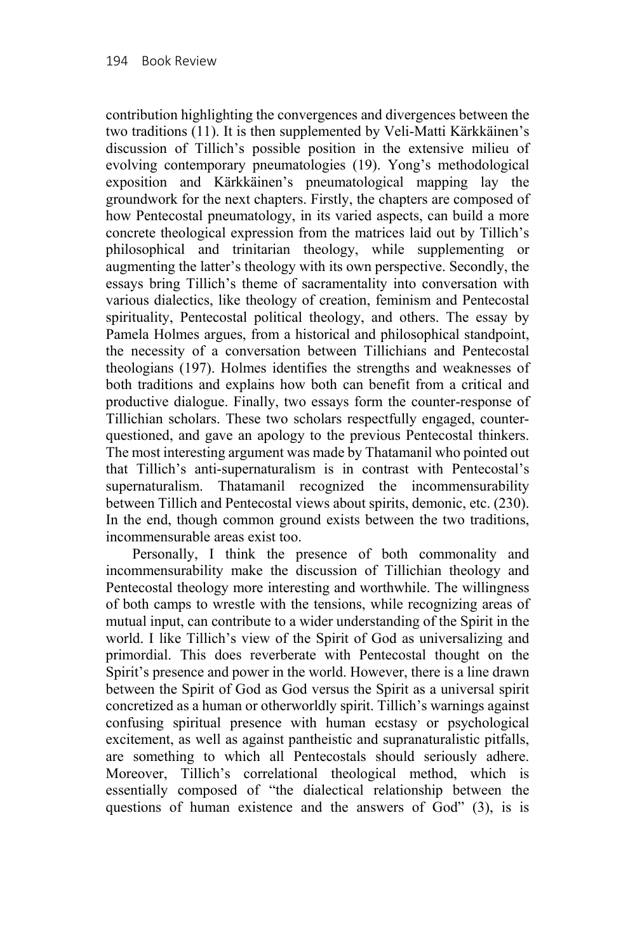contribution highlighting the convergences and divergences between the two traditions (11). It is then supplemented by Veli-Matti Kärkkäinen's discussion of Tillich's possible position in the extensive milieu of evolving contemporary pneumatologies (19). Yong's methodological exposition and Kärkkäinen's pneumatological mapping lay the groundwork for the next chapters. Firstly, the chapters are composed of how Pentecostal pneumatology, in its varied aspects, can build a more concrete theological expression from the matrices laid out by Tillich's philosophical and trinitarian theology, while supplementing or augmenting the latter's theology with its own perspective. Secondly, the essays bring Tillich's theme of sacramentality into conversation with various dialectics, like theology of creation, feminism and Pentecostal spirituality, Pentecostal political theology, and others. The essay by Pamela Holmes argues, from a historical and philosophical standpoint, the necessity of a conversation between Tillichians and Pentecostal theologians (197). Holmes identifies the strengths and weaknesses of both traditions and explains how both can benefit from a critical and productive dialogue. Finally, two essays form the counter-response of Tillichian scholars. These two scholars respectfully engaged, counterquestioned, and gave an apology to the previous Pentecostal thinkers. The most interesting argument was made by Thatamanil who pointed out that Tillich's anti-supernaturalism is in contrast with Pentecostal's supernaturalism. Thatamanil recognized the incommensurability between Tillich and Pentecostal views about spirits, demonic, etc. (230). In the end, though common ground exists between the two traditions, incommensurable areas exist too.

Personally, I think the presence of both commonality and incommensurability make the discussion of Tillichian theology and Pentecostal theology more interesting and worthwhile. The willingness of both camps to wrestle with the tensions, while recognizing areas of mutual input, can contribute to a wider understanding of the Spirit in the world. I like Tillich's view of the Spirit of God as universalizing and primordial. This does reverberate with Pentecostal thought on the Spirit's presence and power in the world. However, there is a line drawn between the Spirit of God as God versus the Spirit as a universal spirit concretized as a human or otherworldly spirit. Tillich's warnings against confusing spiritual presence with human ecstasy or psychological excitement, as well as against pantheistic and supranaturalistic pitfalls, are something to which all Pentecostals should seriously adhere. Moreover, Tillich's correlational theological method, which is essentially composed of "the dialectical relationship between the questions of human existence and the answers of God" (3), is is